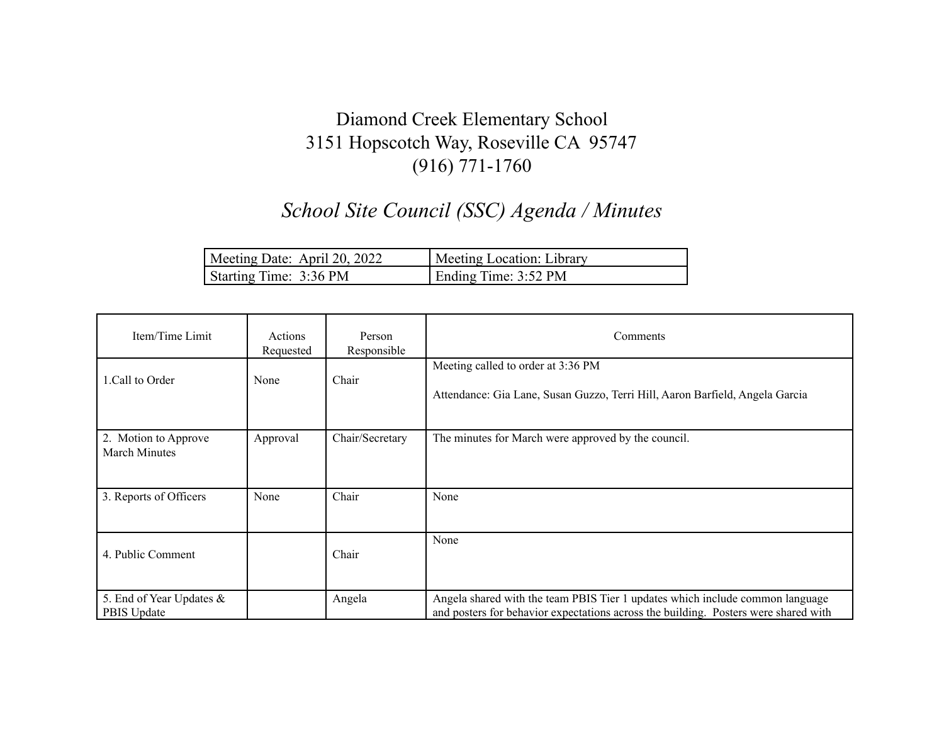## Diamond Creek Elementary School 3151 Hopscotch Way, Roseville CA 95747 (916) 771-1760

## *School Site Council (SSC) Agenda / Minutes*

| Meeting Date: April 20, 2022 | Meeting Location: Library |
|------------------------------|---------------------------|
| Starting Time: 3:36 PM       | Ending Time: 3:52 PM      |

| Item/Time Limit                              | Actions<br>Requested | Person<br>Responsible | Comments                                                                                                                                                             |
|----------------------------------------------|----------------------|-----------------------|----------------------------------------------------------------------------------------------------------------------------------------------------------------------|
| 1. Call to Order                             | None                 | Chair                 | Meeting called to order at 3:36 PM<br>Attendance: Gia Lane, Susan Guzzo, Terri Hill, Aaron Barfield, Angela Garcia                                                   |
| 2. Motion to Approve<br><b>March Minutes</b> | Approval             | Chair/Secretary       | The minutes for March were approved by the council.                                                                                                                  |
| 3. Reports of Officers                       | None                 | Chair                 | None                                                                                                                                                                 |
| 4. Public Comment                            |                      | Chair                 | None                                                                                                                                                                 |
| 5. End of Year Updates &<br>PBIS Update      |                      | Angela                | Angela shared with the team PBIS Tier 1 updates which include common language<br>and posters for behavior expectations across the building. Posters were shared with |